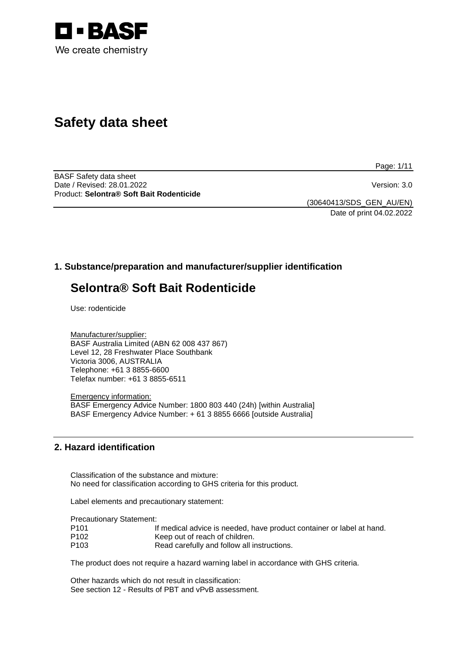

# **Safety data sheet**

Page: 1/11

BASF Safety data sheet Date / Revised: 28.01.2022 Version: 3.0 Product: **Selontra® Soft Bait Rodenticide**

(30640413/SDS\_GEN\_AU/EN) Date of print 04.02.2022

# **1. Substance/preparation and manufacturer/supplier identification**

# **Selontra® Soft Bait Rodenticide**

Use: rodenticide

Manufacturer/supplier: BASF Australia Limited (ABN 62 008 437 867) Level 12, 28 Freshwater Place Southbank Victoria 3006, AUSTRALIA Telephone: +61 3 8855-6600 Telefax number: +61 3 8855-6511

Emergency information: BASF Emergency Advice Number: 1800 803 440 (24h) [within Australia] BASF Emergency Advice Number: + 61 3 8855 6666 [outside Australia]

# **2. Hazard identification**

Classification of the substance and mixture: No need for classification according to GHS criteria for this product.

Label elements and precautionary statement:

Precautionary Statement:

| P101 | If medical advice is needed, have product container or label at hand. |
|------|-----------------------------------------------------------------------|
| P102 | Keep out of reach of children.                                        |
| P103 | Read carefully and follow all instructions.                           |

The product does not require a hazard warning label in accordance with GHS criteria.

Other hazards which do not result in classification: See section 12 - Results of PBT and vPvB assessment.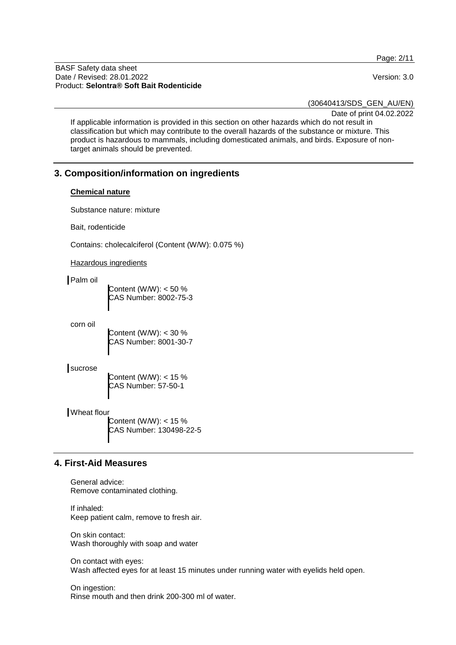Page: 2/11

BASF Safety data sheet Date / Revised: 28.01.2022 Version: 3.0 Product: **Selontra® Soft Bait Rodenticide**

(30640413/SDS\_GEN\_AU/EN)

Date of print 04.02.2022

If applicable information is provided in this section on other hazards which do not result in classification but which may contribute to the overall hazards of the substance or mixture. This product is hazardous to mammals, including domesticated animals, and birds. Exposure of nontarget animals should be prevented.

## **3. Composition/information on ingredients**

#### **Chemical nature**

Substance nature: mixture

Bait, rodenticide

Contains: cholecalciferol (Content (W/W): 0.075 %)

Hazardous ingredients

Palm oil

Content (W/W): < 50 % CAS Number: 8002-75-3

corn oil

Content (W/W): < 30 % CAS Number: 8001-30-7

sucrose

Content (W/W): < 15 % CAS Number: 57-50-1

Wheat flour

Content (W/W): < 15 % CAS Number: 130498-22-5

## **4. First-Aid Measures**

General advice: Remove contaminated clothing.

If inhaled: Keep patient calm, remove to fresh air.

On skin contact: Wash thoroughly with soap and water

On contact with eyes: Wash affected eyes for at least 15 minutes under running water with eyelids held open.

On ingestion: Rinse mouth and then drink 200-300 ml of water.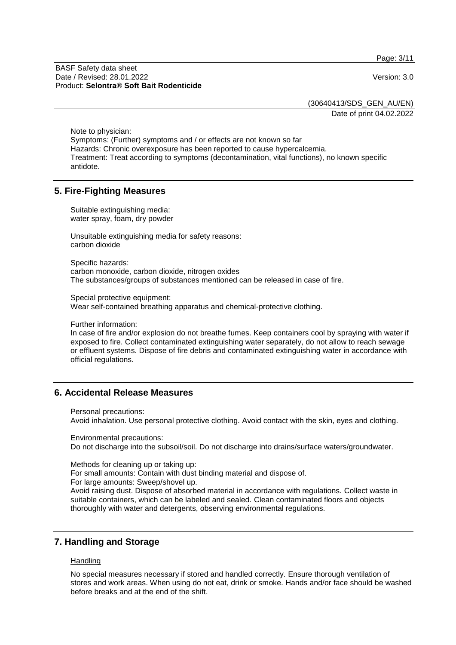Page: 3/11

BASF Safety data sheet Date / Revised: 28.01.2022 Version: 3.0 Product: **Selontra® Soft Bait Rodenticide**

(30640413/SDS\_GEN\_AU/EN)

Date of print 04.02.2022

Note to physician: Symptoms: (Further) symptoms and / or effects are not known so far Hazards: Chronic overexposure has been reported to cause hypercalcemia. Treatment: Treat according to symptoms (decontamination, vital functions), no known specific antidote.

#### **5. Fire-Fighting Measures**

Suitable extinguishing media: water spray, foam, dry powder

Unsuitable extinguishing media for safety reasons: carbon dioxide

Specific hazards: carbon monoxide, carbon dioxide, nitrogen oxides The substances/groups of substances mentioned can be released in case of fire.

Special protective equipment: Wear self-contained breathing apparatus and chemical-protective clothing.

Further information:

In case of fire and/or explosion do not breathe fumes. Keep containers cool by spraying with water if exposed to fire. Collect contaminated extinguishing water separately, do not allow to reach sewage or effluent systems. Dispose of fire debris and contaminated extinguishing water in accordance with official regulations.

## **6. Accidental Release Measures**

Personal precautions:

Avoid inhalation. Use personal protective clothing. Avoid contact with the skin, eyes and clothing.

Environmental precautions: Do not discharge into the subsoil/soil. Do not discharge into drains/surface waters/groundwater.

Methods for cleaning up or taking up:

For small amounts: Contain with dust binding material and dispose of.

For large amounts: Sweep/shovel up.

Avoid raising dust. Dispose of absorbed material in accordance with regulations. Collect waste in suitable containers, which can be labeled and sealed. Clean contaminated floors and objects thoroughly with water and detergents, observing environmental regulations.

# **7. Handling and Storage**

#### **Handling**

No special measures necessary if stored and handled correctly. Ensure thorough ventilation of stores and work areas. When using do not eat, drink or smoke. Hands and/or face should be washed before breaks and at the end of the shift.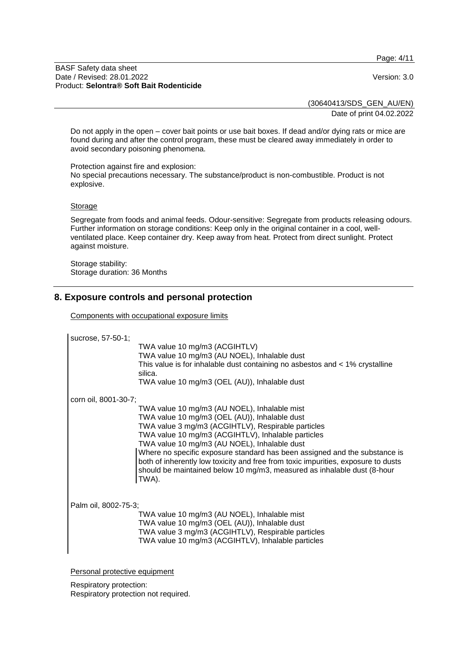Page: 4/11

#### BASF Safety data sheet Date / Revised: 28.01.2022 Version: 3.0 Product: **Selontra® Soft Bait Rodenticide**

(30640413/SDS\_GEN\_AU/EN) Date of print 04.02.2022

Do not apply in the open – cover bait points or use bait boxes. If dead and/or dying rats or mice are found during and after the control program, these must be cleared away immediately in order to avoid secondary poisoning phenomena.

Protection against fire and explosion: No special precautions necessary. The substance/product is non-combustible. Product is not explosive.

#### Storage

Segregate from foods and animal feeds. Odour-sensitive: Segregate from products releasing odours. Further information on storage conditions: Keep only in the original container in a cool, wellventilated place. Keep container dry. Keep away from heat. Protect from direct sunlight. Protect against moisture.

Storage stability: Storage duration: 36 Months

# **8. Exposure controls and personal protection**

Components with occupational exposure limits

sucrose, 57-50-1;

TWA value 10 mg/m3 (ACGIHTLV) TWA value 10 mg/m3 (AU NOEL), Inhalable dust This value is for inhalable dust containing no asbestos and < 1% crystalline silica.

TWA value 10 mg/m3 (OEL (AU)), Inhalable dust

corn oil, 8001-30-7;

TWA value 10 mg/m3 (AU NOEL), Inhalable mist TWA value 10 mg/m3 (OEL (AU)), Inhalable dust TWA value 3 mg/m3 (ACGIHTLV), Respirable particles TWA value 10 mg/m3 (ACGIHTLV), Inhalable particles TWA value 10 mg/m3 (AU NOEL), Inhalable dust Where no specific exposure standard has been assigned and the substance is both of inherently low toxicity and free from toxic impurities, exposure to dusts should be maintained below 10 mg/m3, measured as inhalable dust (8-hour TWA).

Palm oil, 8002-75-3;

TWA value 10 mg/m3 (AU NOEL), Inhalable mist TWA value 10 mg/m3 (OEL (AU)), Inhalable dust TWA value 3 mg/m3 (ACGIHTLV), Respirable particles TWA value 10 mg/m3 (ACGIHTLV), Inhalable particles

Personal protective equipment

Respiratory protection: Respiratory protection not required.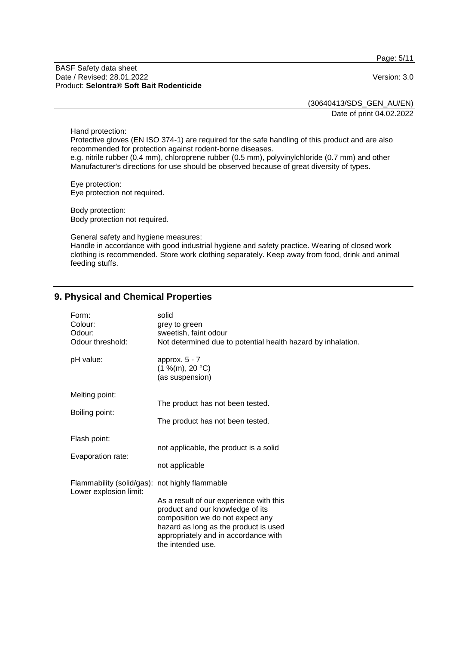Page: 5/11

#### BASF Safety data sheet Date / Revised: 28.01.2022 Version: 3.0 Product: **Selontra® Soft Bait Rodenticide**

(30640413/SDS\_GEN\_AU/EN)

Date of print 04.02.2022

Hand protection:

Protective gloves (EN ISO 374-1) are required for the safe handling of this product and are also recommended for protection against rodent-borne diseases.

e.g. nitrile rubber (0.4 mm), chloroprene rubber (0.5 mm), polyvinylchloride (0.7 mm) and other Manufacturer's directions for use should be observed because of great diversity of types.

Eye protection: Eye protection not required.

Body protection: Body protection not required.

General safety and hygiene measures: Handle in accordance with good industrial hygiene and safety practice. Wearing of closed work clothing is recommended. Store work clothing separately. Keep away from food, drink and animal feeding stuffs.

## **9. Physical and Chemical Properties**

| Form:                                                                    | solid                                                                                                                                                                                                                 |
|--------------------------------------------------------------------------|-----------------------------------------------------------------------------------------------------------------------------------------------------------------------------------------------------------------------|
| Colour:                                                                  | grey to green                                                                                                                                                                                                         |
| Odour:                                                                   | sweetish, faint odour                                                                                                                                                                                                 |
| Odour threshold:                                                         | Not determined due to potential health hazard by inhalation.                                                                                                                                                          |
| pH value:                                                                | approx. $5 - 7$<br>(1 %(m), 20 °C)<br>(as suspension)                                                                                                                                                                 |
| Melting point:                                                           | The product has not been tested.                                                                                                                                                                                      |
| Boiling point:                                                           | The product has not been tested.                                                                                                                                                                                      |
| Flash point:                                                             | not applicable, the product is a solid                                                                                                                                                                                |
| Evaporation rate:                                                        | not applicable                                                                                                                                                                                                        |
| Flammability (solid/gas): not highly flammable<br>Lower explosion limit: | As a result of our experience with this<br>product and our knowledge of its<br>composition we do not expect any<br>hazard as long as the product is used<br>appropriately and in accordance with<br>the intended use. |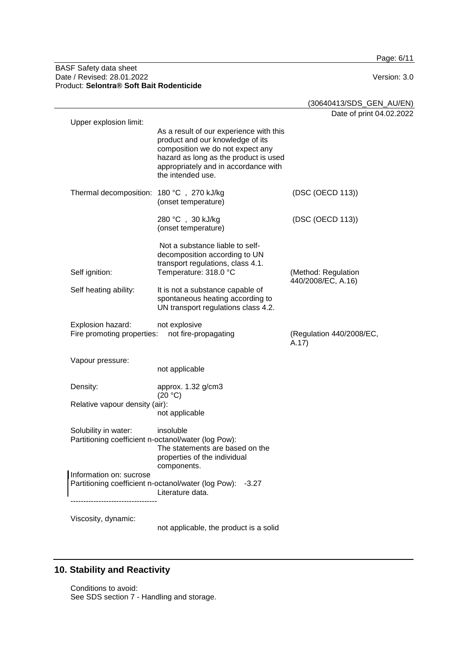Page: 6/11

#### BASF Safety data sheet Date / Revised: 28.01.2022 Version: 3.0 Product: **Selontra® Soft Bait Rodenticide**

|                                                                             |                                                                                                                                                                                                                       | (30640413/SDS_GEN_AU/EN)                  |
|-----------------------------------------------------------------------------|-----------------------------------------------------------------------------------------------------------------------------------------------------------------------------------------------------------------------|-------------------------------------------|
|                                                                             |                                                                                                                                                                                                                       | Date of print 04.02.2022                  |
| Upper explosion limit:                                                      | As a result of our experience with this<br>product and our knowledge of its<br>composition we do not expect any<br>hazard as long as the product is used<br>appropriately and in accordance with<br>the intended use. |                                           |
| Thermal decomposition: 180 °C, 270 kJ/kg                                    | (onset temperature)                                                                                                                                                                                                   | (DSC (OECD 113))                          |
|                                                                             | 280 °C, 30 kJ/kg<br>(onset temperature)                                                                                                                                                                               | (DSC (OECD 113))                          |
| Self ignition:                                                              | Not a substance liable to self-<br>decomposition according to UN<br>transport regulations, class 4.1.<br>Temperature: 318.0 °C                                                                                        | (Method: Regulation<br>440/2008/EC, A.16) |
| Self heating ability:                                                       | It is not a substance capable of<br>spontaneous heating according to<br>UN transport regulations class 4.2.                                                                                                           |                                           |
| Explosion hazard:<br>Fire promoting properties:                             | not explosive<br>not fire-propagating                                                                                                                                                                                 | (Regulation 440/2008/EC,<br>A.17)         |
| Vapour pressure:                                                            | not applicable                                                                                                                                                                                                        |                                           |
| Density:                                                                    | approx. 1.32 g/cm3<br>(20 °C)                                                                                                                                                                                         |                                           |
| Relative vapour density (air):                                              | not applicable                                                                                                                                                                                                        |                                           |
| Solubility in water:<br>Partitioning coefficient n-octanol/water (log Pow): | insoluble<br>The statements are based on the<br>properties of the individual<br>components.                                                                                                                           |                                           |
| Information on: sucrose                                                     |                                                                                                                                                                                                                       |                                           |
|                                                                             | Partitioning coefficient n-octanol/water (log Pow): -3.27<br>Literature data.                                                                                                                                         |                                           |
|                                                                             |                                                                                                                                                                                                                       |                                           |

Viscosity, dynamic:

not applicable, the product is a solid

# **10. Stability and Reactivity**

Conditions to avoid: See SDS section 7 - Handling and storage.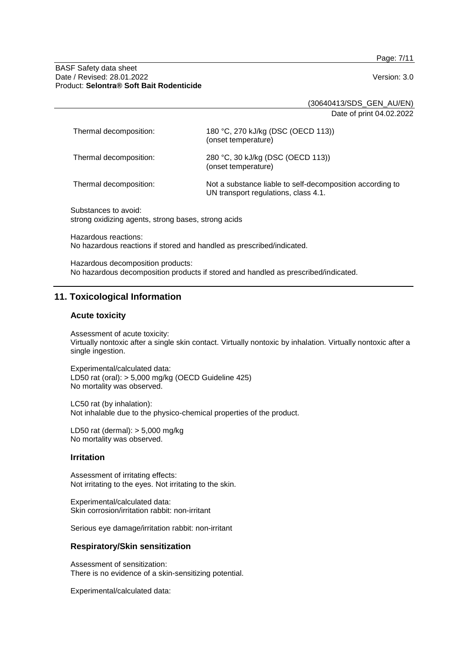Page: 7/11

#### BASF Safety data sheet Date / Revised: 28.01.2022 Version: 3.0 Product: **Selontra® Soft Bait Rodenticide**

(30640413/SDS\_GEN\_AU/EN)

Date of print 04.02.2022

| Thermal decomposition: | 180 °C, 270 kJ/kg (DSC (OECD 113))<br>(onset temperature)                                         |
|------------------------|---------------------------------------------------------------------------------------------------|
| Thermal decomposition: | 280 °C, 30 kJ/kg (DSC (OECD 113))<br>(onset temperature)                                          |
| Thermal decomposition: | Not a substance liable to self-decomposition according to<br>UN transport regulations, class 4.1. |

Substances to avoid: strong oxidizing agents, strong bases, strong acids

Hazardous reactions: No hazardous reactions if stored and handled as prescribed/indicated.

Hazardous decomposition products: No hazardous decomposition products if stored and handled as prescribed/indicated.

# **11. Toxicological Information**

#### **Acute toxicity**

Assessment of acute toxicity: Virtually nontoxic after a single skin contact. Virtually nontoxic by inhalation. Virtually nontoxic after a single ingestion.

Experimental/calculated data: LD50 rat (oral): > 5,000 mg/kg (OECD Guideline 425) No mortality was observed.

LC50 rat (by inhalation): Not inhalable due to the physico-chemical properties of the product.

LD50 rat (dermal): > 5,000 mg/kg No mortality was observed.

#### **Irritation**

Assessment of irritating effects: Not irritating to the eyes. Not irritating to the skin.

Experimental/calculated data: Skin corrosion/irritation rabbit: non-irritant

Serious eye damage/irritation rabbit: non-irritant

#### **Respiratory/Skin sensitization**

Assessment of sensitization: There is no evidence of a skin-sensitizing potential.

Experimental/calculated data: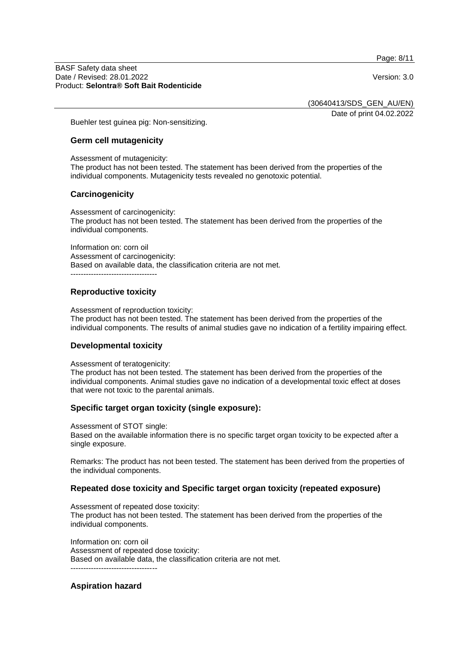Page: 8/11

#### BASF Safety data sheet Date / Revised: 28.01.2022 Version: 3.0 Product: **Selontra® Soft Bait Rodenticide**

(30640413/SDS\_GEN\_AU/EN)

Date of print 04.02.2022

Buehler test guinea pig: Non-sensitizing.

#### **Germ cell mutagenicity**

Assessment of mutagenicity: The product has not been tested. The statement has been derived from the properties of the individual components. Mutagenicity tests revealed no genotoxic potential.

## **Carcinogenicity**

Assessment of carcinogenicity: The product has not been tested. The statement has been derived from the properties of the individual components.

Information on: corn oil Assessment of carcinogenicity: Based on available data, the classification criteria are not met. ----------------------------------

# **Reproductive toxicity**

Assessment of reproduction toxicity:

The product has not been tested. The statement has been derived from the properties of the individual components. The results of animal studies gave no indication of a fertility impairing effect.

## **Developmental toxicity**

Assessment of teratogenicity:

The product has not been tested. The statement has been derived from the properties of the individual components. Animal studies gave no indication of a developmental toxic effect at doses that were not toxic to the parental animals.

## **Specific target organ toxicity (single exposure):**

Assessment of STOT single:

Based on the available information there is no specific target organ toxicity to be expected after a single exposure.

Remarks: The product has not been tested. The statement has been derived from the properties of the individual components.

## **Repeated dose toxicity and Specific target organ toxicity (repeated exposure)**

Assessment of repeated dose toxicity: The product has not been tested. The statement has been derived from the properties of the individual components.

Information on: corn oil Assessment of repeated dose toxicity: Based on available data, the classification criteria are not met. ----------------------------------

## **Aspiration hazard**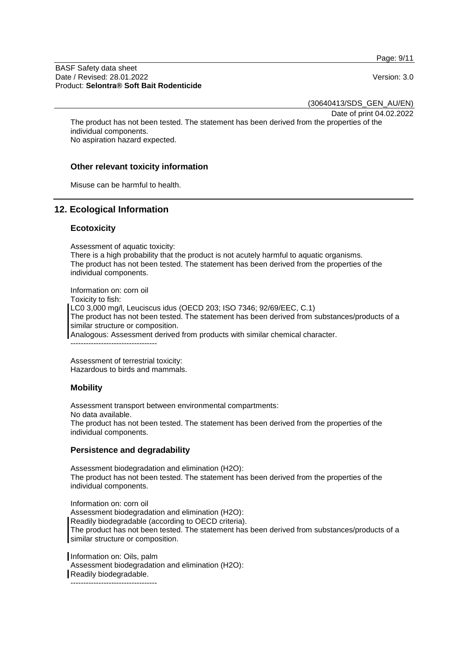Page: 9/11

#### BASF Safety data sheet Date / Revised: 28.01.2022 Version: 3.0 Product: **Selontra® Soft Bait Rodenticide**

(30640413/SDS\_GEN\_AU/EN)

Date of print 04.02.2022

The product has not been tested. The statement has been derived from the properties of the individual components. No aspiration hazard expected.

#### **Other relevant toxicity information**

Misuse can be harmful to health.

## **12. Ecological Information**

#### **Ecotoxicity**

Assessment of aquatic toxicity:

There is a high probability that the product is not acutely harmful to aquatic organisms. The product has not been tested. The statement has been derived from the properties of the individual components.

Information on: corn oil Toxicity to fish: LC0 3,000 mg/l, Leuciscus idus (OECD 203; ISO 7346; 92/69/EEC, C.1) The product has not been tested. The statement has been derived from substances/products of a similar structure or composition. Analogous: Assessment derived from products with similar chemical character.

----------------------------------

Assessment of terrestrial toxicity: Hazardous to birds and mammals.

## **Mobility**

Assessment transport between environmental compartments: No data available. The product has not been tested. The statement has been derived from the properties of the individual components.

## **Persistence and degradability**

Assessment biodegradation and elimination (H2O): The product has not been tested. The statement has been derived from the properties of the individual components.

Information on: corn oil Assessment biodegradation and elimination (H2O): Readily biodegradable (according to OECD criteria). The product has not been tested. The statement has been derived from substances/products of a similar structure or composition.

Information on: Oils, palm Assessment biodegradation and elimination (H2O): Readily biodegradable. ----------------------------------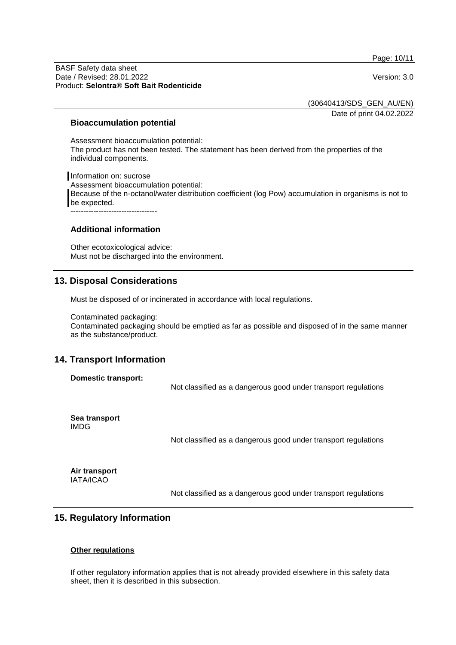Page: 10/11

#### BASF Safety data sheet Date / Revised: 28.01.2022 Version: 3.0 Product: **Selontra® Soft Bait Rodenticide**

(30640413/SDS\_GEN\_AU/EN)

Date of print 04.02.2022

#### **Bioaccumulation potential**

Assessment bioaccumulation potential: The product has not been tested. The statement has been derived from the properties of the individual components.

Information on: sucrose Assessment bioaccumulation potential: Because of the n-octanol/water distribution coefficient (log Pow) accumulation in organisms is not to be expected. ----------------------------------

## **Additional information**

Other ecotoxicological advice: Must not be discharged into the environment.

# **13. Disposal Considerations**

Must be disposed of or incinerated in accordance with local regulations.

Contaminated packaging: Contaminated packaging should be emptied as far as possible and disposed of in the same manner as the substance/product.

# **14. Transport Information**

# **Domestic transport:** Not classified as a dangerous good under transport regulations **Sea transport** IMDG Not classified as a dangerous good under transport regulations

**Air transport** IATA/ICAO

Not classified as a dangerous good under transport regulations

# **15. Regulatory Information**

#### **Other regulations**

If other regulatory information applies that is not already provided elsewhere in this safety data sheet, then it is described in this subsection.